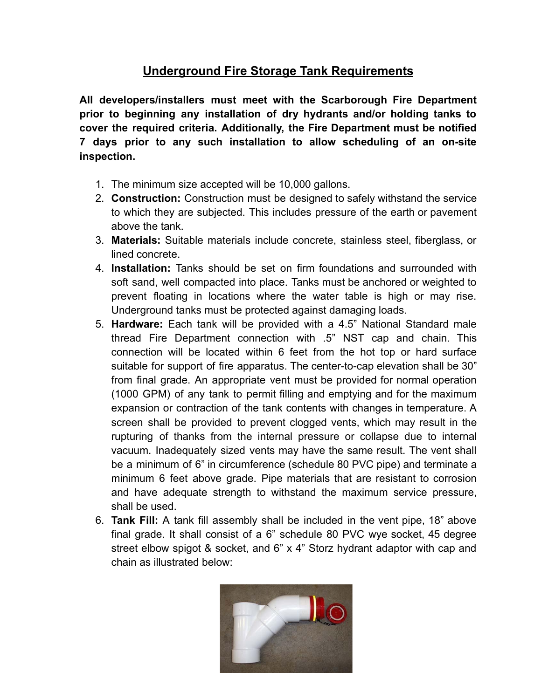## **Underground Fire Storage Tank Requirements**

**All developers/installers must meet with the Scarborough Fire Department prior to beginning any installation of dry hydrants and/or holding tanks to cover the required criteria. Additionally, the Fire Department must be notified 7 days prior to any such installation to allow scheduling of an on-site inspection.**

- 1. The minimum size accepted will be 10,000 gallons.
- 2. **Construction:** Construction must be designed to safely withstand the service to which they are subjected. This includes pressure of the earth or pavement above the tank.
- 3. **Materials:** Suitable materials include concrete, stainless steel, fiberglass, or lined concrete.
- 4. **Installation:** Tanks should be set on firm foundations and surrounded with soft sand, well compacted into place. Tanks must be anchored or weighted to prevent floating in locations where the water table is high or may rise. Underground tanks must be protected against damaging loads.
- 5. **Hardware:** Each tank will be provided with a 4.5" National Standard male thread Fire Department connection with .5" NST cap and chain. This connection will be located within 6 feet from the hot top or hard surface suitable for support of fire apparatus. The center-to-cap elevation shall be 30" from final grade. An appropriate vent must be provided for normal operation (1000 GPM) of any tank to permit filling and emptying and for the maximum expansion or contraction of the tank contents with changes in temperature. A screen shall be provided to prevent clogged vents, which may result in the rupturing of thanks from the internal pressure or collapse due to internal vacuum. Inadequately sized vents may have the same result. The vent shall be a minimum of 6" in circumference (schedule 80 PVC pipe) and terminate a minimum 6 feet above grade. Pipe materials that are resistant to corrosion and have adequate strength to withstand the maximum service pressure, shall be used.
- 6. **Tank Fill:** A tank fill assembly shall be included in the vent pipe, 18" above final grade. It shall consist of a 6" schedule 80 PVC wye socket, 45 degree street elbow spigot & socket, and 6" x 4" Storz hydrant adaptor with cap and chain as illustrated below:

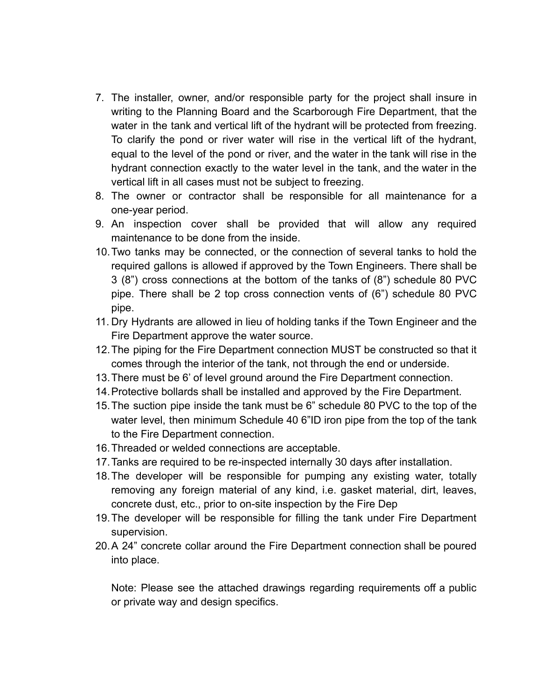- 7. The installer, owner, and/or responsible party for the project shall insure in writing to the Planning Board and the Scarborough Fire Department, that the water in the tank and vertical lift of the hydrant will be protected from freezing. To clarify the pond or river water will rise in the vertical lift of the hydrant, equal to the level of the pond or river, and the water in the tank will rise in the hydrant connection exactly to the water level in the tank, and the water in the vertical lift in all cases must not be subject to freezing.
- 8. The owner or contractor shall be responsible for all maintenance for a one-year period.
- 9. An inspection cover shall be provided that will allow any required maintenance to be done from the inside.
- 10.Two tanks may be connected, or the connection of several tanks to hold the required gallons is allowed if approved by the Town Engineers. There shall be 3 (8") cross connections at the bottom of the tanks of (8") schedule 80 PVC pipe. There shall be 2 top cross connection vents of (6") schedule 80 PVC pipe.
- 11. Dry Hydrants are allowed in lieu of holding tanks if the Town Engineer and the Fire Department approve the water source.
- 12.The piping for the Fire Department connection MUST be constructed so that it comes through the interior of the tank, not through the end or underside.
- 13.There must be 6' of level ground around the Fire Department connection.
- 14.Protective bollards shall be installed and approved by the Fire Department.
- 15.The suction pipe inside the tank must be 6" schedule 80 PVC to the top of the water level, then minimum Schedule 40 6"ID iron pipe from the top of the tank to the Fire Department connection.
- 16.Threaded or welded connections are acceptable.
- 17.Tanks are required to be re-inspected internally 30 days after installation.
- 18.The developer will be responsible for pumping any existing water, totally removing any foreign material of any kind, i.e. gasket material, dirt, leaves, concrete dust, etc., prior to on-site inspection by the Fire Dep
- 19.The developer will be responsible for filling the tank under Fire Department supervision.
- 20.A 24" concrete collar around the Fire Department connection shall be poured into place.

Note: Please see the attached drawings regarding requirements off a public or private way and design specifics.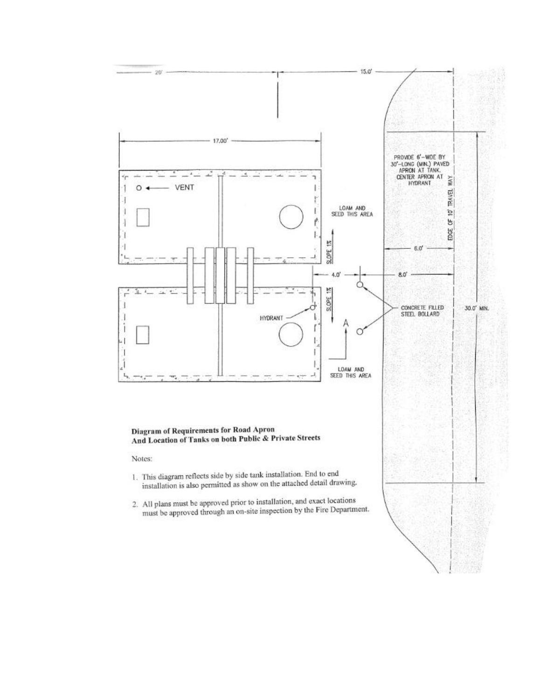